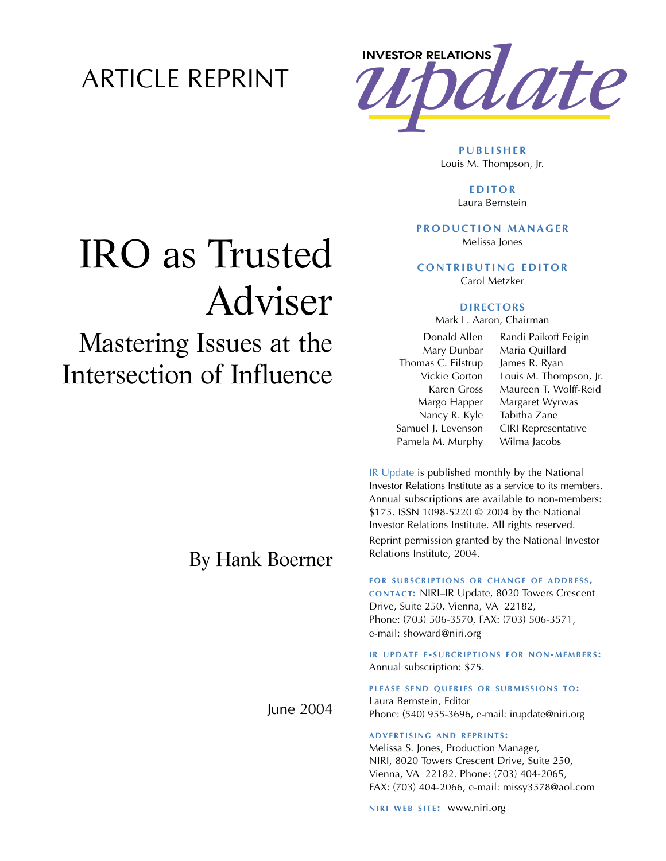### ARTICLE REPRINT



**PUBLISHER** Louis M. Thompson, Jr.

> **EDITOR** Laura Bernstein

### **PRODUCTION MANAGER**

Melissa Jones

**CONTRIBUTING EDITOR** Carol Metzker

### **DIRECTORS**

Mark L. Aaron, Chairman

Donald Allen Mary Dunbar Thomas C. Filstrup Vickie Gorton Karen Gross Margo Happer Nancy R. Kyle Samuel J. Levenson Pamela M. Murphy

Randi Paikoff Feigin Maria Quillard James R. Ryan Louis M. Thompson, Jr. Maureen T. Wolff-Reid Margaret Wyrwas Tabitha Zane CIRI Representative Wilma Jacobs

IR Update is published monthly by the National Investor Relations Institute as a service to its members. Annual subscriptions are available to non-members: \$175. ISSN 1098-5220 © 2004 by the National Investor Relations Institute. All rights reserved. Reprint permission granted by the National Investor Relations Institute, 2004.

#### **FOR SUBSCRIPTIONS OR CHANGE OF ADDRESS,**

**CONTACT:** NIRI–IR Update, 8020 Towers Crescent Drive, Suite 250, Vienna, VA 22182, Phone: (703) 506-3570, FAX: (703) 506-3571, e-mail: showard@niri.org

**IR UPDATE E - SUBCRIPTIONS FOR NON-MEMBERS :** Annual subscription: \$75.

**PLEASE SEND QUERIES OR SUBMISSIONS TO:** Laura Bernstein, Editor Phone: (540) 955-3696, e-mail: irupdate@niri.org

#### **ADVERTISING AND REPRINTS :**

Melissa S. Jones, Production Manager, NIRI, 8020 Towers Crescent Drive, Suite 250, Vienna, VA 22182. Phone: (703) 404-2065, FAX: (703) 404-2066, e-mail: missy3578@aol.com

**NIRI WEB SITE: WWW.niri.org** 

# IRO as Trusted Adviser

## Mastering Issues at the Intersection of Influence

## By Hank Boerner

June 2004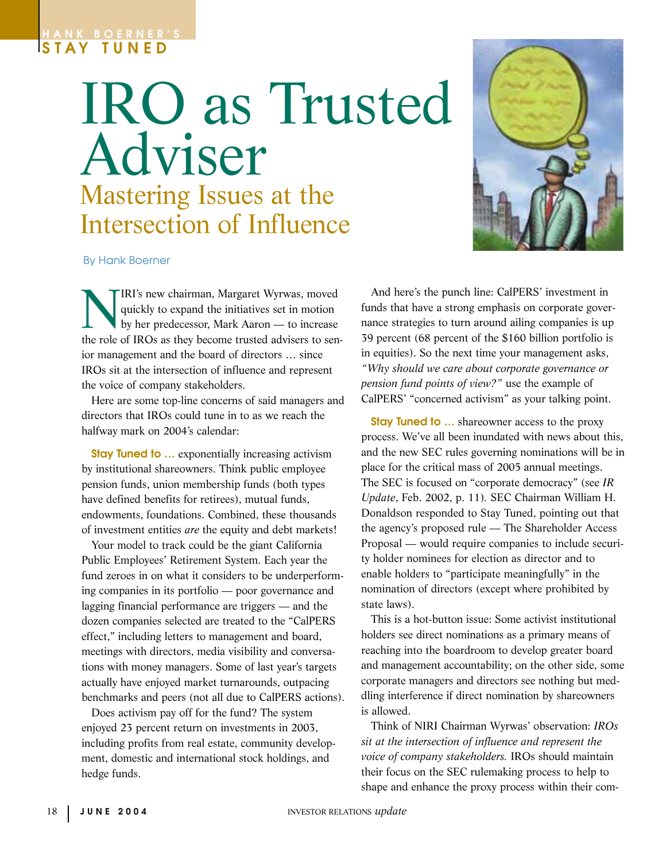### **HANK BOERNER'S STAY TUNED**

## IRO as Trusted Adviser Mastering Issues at the Intersection of Influence



By Hank Boerner

IRI's new chairman, Margaret Wyrwas, moved<br>quickly to expand the initiatives set in motion<br>by her predecessor, Mark Aaron — to increase quickly to expand the initiatives set in motion by her predecessor, Mark Aaron — to increase the role of IROs as they become trusted advisers to senior management and the board of directors … since IROs sit at the intersection of influence and represent the voice of company stakeholders.

Here are some top-line concerns of said managers and directors that IROs could tune in to as we reach the halfway mark on 2004's calendar:

**Stay Tuned to ...** exponentially increasing activism by institutional shareowners. Think public employee pension funds, union membership funds (both types have defined benefits for retirees), mutual funds, endowments, foundations. Combined, these thousands of investment entities *are* the equity and debt markets!

Your model to track could be the giant California Public Employees' Retirement System. Each year the fund zeroes in on what it considers to be underperforming companies in its portfolio — poor governance and lagging financial performance are triggers — and the dozen companies selected are treated to the "CalPERS effect," including letters to management and board, meetings with directors, media visibility and conversations with money managers. Some of last year's targets actually have enjoyed market turnarounds, outpacing benchmarks and peers (not all due to CalPERS actions).

Does activism pay off for the fund? The system enjoyed 23 percent return on investments in 2003, including profits from real estate, community development, domestic and international stock holdings, and hedge funds.

And here's the punch line: CalPERS' investment in funds that have a strong emphasis on corporate governance strategies to turn around ailing companies is up 39 percent (68 percent of the \$160 billion portfolio is in equities). So the next time your management asks, *"Why should we care about corporate governance or pension fund points of view?"* use the example of CalPERS' "concerned activism" as your talking point.

**Stay Tuned to ...** shareowner access to the proxy process. We've all been inundated with news about this, and the new SEC rules governing nominations will be in place for the critical mass of 2005 annual meetings. The SEC is focused on "corporate democracy" (see *IR Update*, Feb. 2002, p. 11)*.* SEC Chairman William H. Donaldson responded to Stay Tuned, pointing out that the agency's proposed rule — The Shareholder Access Proposal — would require companies to include security holder nominees for election as director and to enable holders to "participate meaningfully" in the nomination of directors (except where prohibited by state laws).

This is a hot-button issue: Some activist institutional holders see direct nominations as a primary means of reaching into the boardroom to develop greater board and management accountability; on the other side, some corporate managers and directors see nothing but meddling interference if direct nomination by shareowners is allowed.

Think of NIRI Chairman Wyrwas' observation: *IROs sit at the intersection of influence and represent the voice of company stakeholders.* IROs should maintain their focus on the SEC rulemaking process to help to shape and enhance the proxy process within their com